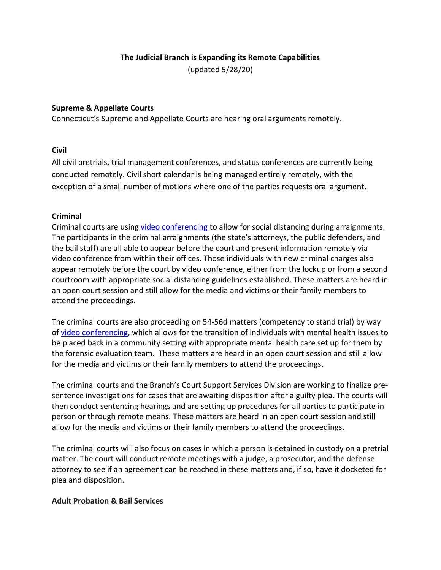### **The Judicial Branch is Expanding its Remote Capabilities**

(updated 5/28/20)

### **Supreme & Appellate Courts**

Connecticut's Supreme and Appellate Courts are hearing oral arguments remotely.

### **Civil**

All civil pretrials, trial management conferences, and status conferences are currently being conducted remotely. Civil short calendar is being managed entirely remotely, with the exception of a small number of motions where one of the parties requests oral argument.

## **Criminal**

Criminal courts are using [video conferencing](https://jud.ct.gov/HomePDFs/CriminalMattersExpHandleCases.pdf) to allow for social distancing during arraignments. The participants in the criminal arraignments (the state's attorneys, the public defenders, and the bail staff) are all able to appear before the court and present information remotely via video conference from within their offices. Those individuals with new criminal charges also appear remotely before the court by video conference, either from the lockup or from a second courtroom with appropriate social distancing guidelines established. These matters are heard in an open court session and still allow for the media and victims or their family members to attend the proceedings.

The criminal courts are also proceeding on 54-56d matters (competency to stand trial) by way of [video conferencing,](https://jud.ct.gov/HomePDFs/CriminalMattersExpHandleCases.pdf) which allows for the transition of individuals with mental health issues to be placed back in a community setting with appropriate mental health care set up for them by the forensic evaluation team. These matters are heard in an open court session and still allow for the media and victims or their family members to attend the proceedings.

The criminal courts and the Branch's Court Support Services Division are working to finalize presentence investigations for cases that are awaiting disposition after a guilty plea. The courts will then conduct sentencing hearings and are setting up procedures for all parties to participate in person or through remote means. These matters are heard in an open court session and still allow for the media and victims or their family members to attend the proceedings.

The criminal courts will also focus on cases in which a person is detained in custody on a pretrial matter. The court will conduct remote meetings with a judge, a prosecutor, and the defense attorney to see if an agreement can be reached in these matters and, if so, have it docketed for plea and disposition.

### **Adult Probation & Bail Services**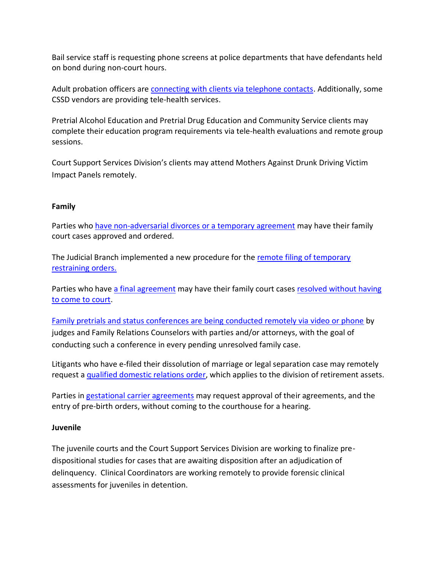Bail service staff is requesting phone screens at police departments that have defendants held on bond during non-court hours.

Adult probation officers are [connecting with clients via telephone contacts.](https://jud.ct.gov/HomePDFs/Adult_Probation_closed.pdf) Additionally, some CSSD vendors are providing tele-health services.

Pretrial Alcohol Education and Pretrial Drug Education and Community Service clients may complete their education program requirements via tele-health evaluations and remote group sessions.

Court Support Services Division's clients may attend Mothers Against Drunk Driving Victim Impact Panels remotely.

### **Family**

Parties who [have non-adversarial divorces or a temporary agreement](https://jud.ct.gov/HomePDFs/CaseResolvePlan.pdf) may have their family court cases approved and ordered.

The Judicial Branch implemented a new procedure for the [remote filing of temporary](https://jud.ct.gov/HomePDFs/TRO_4320.pdf)  [restraining orders.](https://jud.ct.gov/HomePDFs/TRO_4320.pdf) 

Parties who have [a final agreement](https://jud.ct.gov/HomePDFs/HandlingFamilyMattersRemotely.pdf) may have their family court cases [resolved without having](https://jud.ct.gov/family/FArequest.htm)  [to come to court.](https://jud.ct.gov/family/FArequest.htm)

[Family pretrials and status conferences are being conducted remotely via video or phone](https://jud.ct.gov/HomePDFs/remotemessage.pdf) by judges and Family Relations Counselors with parties and/or attorneys, with the goal of conducting such a conference in every pending unresolved family case.

Litigants who have e-filed their dissolution of marriage or legal separation case may remotely request a [qualified domestic relations order,](https://jud.ct.gov/HomePDFs/QDROApproval.pdf) which applies to the division of retirement assets.

Parties in [gestational carrier agreements](https://jud.ct.gov/HomePDFs/GestationalAgreement20.pdf) may request approval of their agreements, and the entry of pre-birth orders, without coming to the courthouse for a hearing.

# **Juvenile**

The juvenile courts and the Court Support Services Division are working to finalize predispositional studies for cases that are awaiting disposition after an adjudication of delinquency. Clinical Coordinators are working remotely to provide forensic clinical assessments for juveniles in detention.